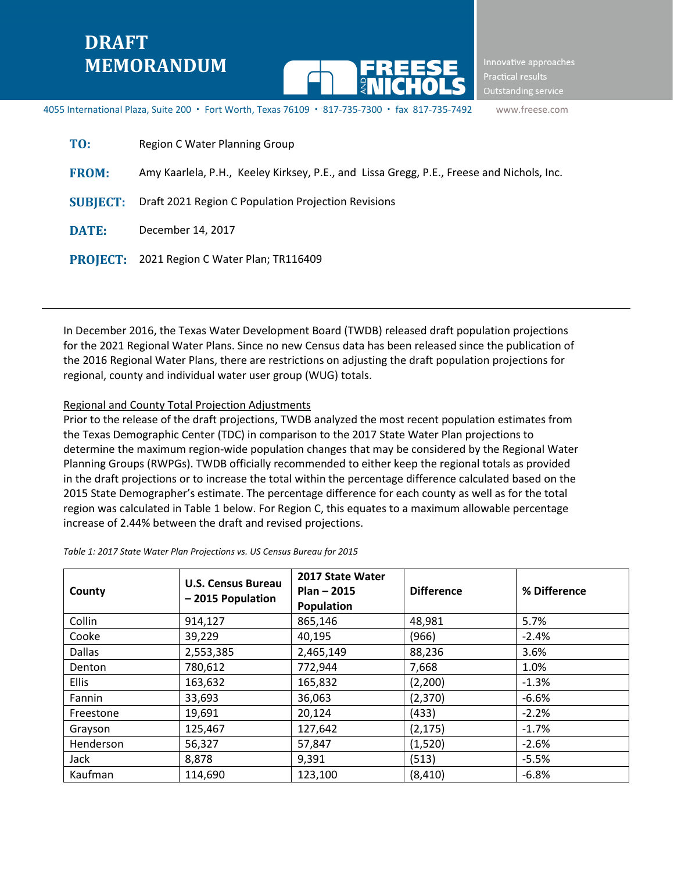# **DRAFT MEMORANDUM**



Innovative approaches Practical results Outstanding service

4055 International Plaza, Suite 200 · Fort Worth, Texas 76109 · 817-735-7300 · fax 817-735-7492 www.freese.com

| TO:             | Region C Water Planning Group                                                             |
|-----------------|-------------------------------------------------------------------------------------------|
| <b>FROM:</b>    | Amy Kaarlela, P.H., Keeley Kirksey, P.E., and Lissa Gregg, P.E., Freese and Nichols, Inc. |
| <b>SUBJECT:</b> | Draft 2021 Region C Population Projection Revisions                                       |
| <b>DATE:</b>    | December 14, 2017                                                                         |
| <b>PROJECT:</b> | 2021 Region C Water Plan; TR116409                                                        |

In December 2016, the Texas Water Development Board (TWDB) released draft population projections for the 2021 Regional Water Plans. Since no new Census data has been released since the publication of the 2016 Regional Water Plans, there are restrictions on adjusting the draft population projections for regional, county and individual water user group (WUG) totals.

#### Regional and County Total Projection Adjustments

Prior to the release of the draft projections, TWDB analyzed the most recent population estimates from the Texas Demographic Center (TDC) in comparison to the 2017 State Water Plan projections to determine the maximum region-wide population changes that may be considered by the Regional Water Planning Groups (RWPGs). TWDB officially recommended to either keep the regional totals as provided in the draft projections or to increase the total within the percentage difference calculated based on the 2015 State Demographer's estimate. The percentage difference for each county as well as for the total region was calculated in Table 1 below. For Region C, this equates to a maximum allowable percentage increase of 2.44% between the draft and revised projections.

| County        | <b>U.S. Census Bureau</b><br>-2015 Population | 2017 State Water<br>$Plan - 2015$<br>Population | <b>Difference</b> | % Difference |  |
|---------------|-----------------------------------------------|-------------------------------------------------|-------------------|--------------|--|
| Collin        | 914,127                                       | 865,146                                         | 48,981            | 5.7%         |  |
| Cooke         | 39,229                                        | 40,195                                          | (966)             | $-2.4%$      |  |
| <b>Dallas</b> | 2,553,385                                     | 2,465,149                                       | 88,236            | 3.6%         |  |
| Denton        | 780,612                                       | 772,944                                         | 7,668             | 1.0%         |  |
| <b>Ellis</b>  | 163,632                                       | 165,832                                         | (2,200)           | $-1.3%$      |  |
| Fannin        | 33,693                                        | 36,063                                          | (2,370)           | $-6.6%$      |  |
| Freestone     | 19,691                                        | 20,124                                          | (433)             | $-2.2%$      |  |
| Grayson       | 125,467                                       | 127,642                                         | (2, 175)          | $-1.7%$      |  |
| Henderson     | 56,327                                        | 57,847                                          | (1,520)           | $-2.6%$      |  |
| Jack          | 8,878                                         | 9,391                                           | (513)             | $-5.5%$      |  |
| Kaufman       | 114,690                                       | 123,100                                         | (8, 410)          | $-6.8%$      |  |

*Table 1: 2017 State Water Plan Projections vs. US Census Bureau for 2015*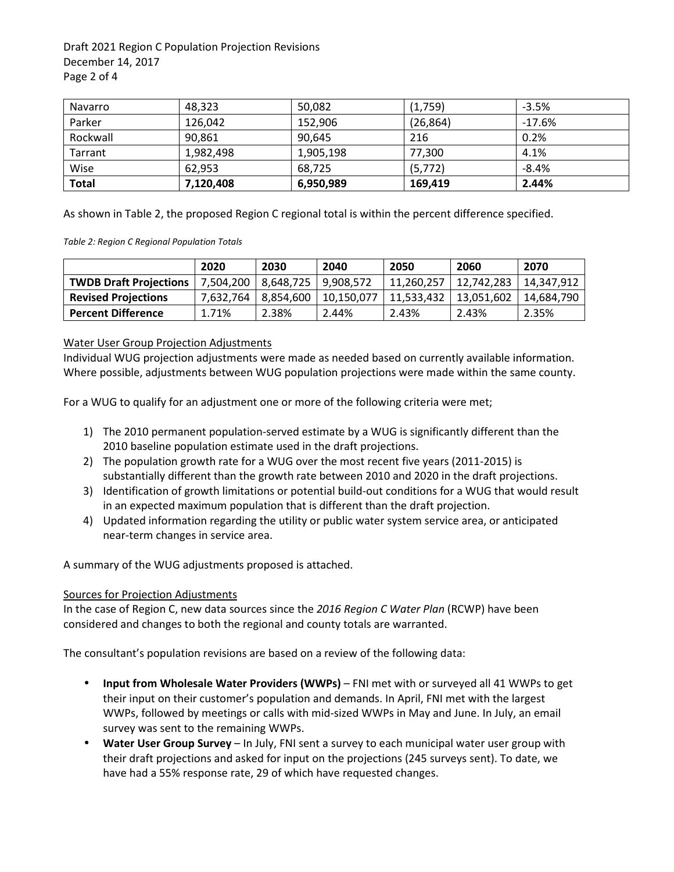Draft 2021 Region C Population Projection Revisions December 14, 2017 Page 2 of 4

| Navarro      | 48.323    | 50,082    | (1,759)   | $-3.5%$  |
|--------------|-----------|-----------|-----------|----------|
| Parker       | 126.042   | 152,906   | (26, 864) | $-17.6%$ |
| Rockwall     | 90.861    | 90.645    | 216       | 0.2%     |
| Tarrant      | 1,982,498 | 1,905,198 | 77,300    | 4.1%     |
| Wise         | 62.953    | 68.725    | (5, 772)  | $-8.4%$  |
| <b>Total</b> | 7,120,408 | 6,950,989 | 169,419   | 2.44%    |

As shown in Table 2, the proposed Region C regional total is within the percent difference specified.

*Table 2: Region C Regional Population Totals* 

|                               | 2020      | 2030      | 2040       | 2050       | 2060       | 2070       |
|-------------------------------|-----------|-----------|------------|------------|------------|------------|
| <b>TWDB Draft Projections</b> | 7.504.200 | 8.648.725 | 9.908.572  | 11.260.257 | 12,742,283 | 14.347.912 |
| <b>Revised Projections</b>    | 7.632.764 | 8.854.600 | 10.150.077 | 11.533.432 | 13,051,602 | 14.684.790 |
| <b>Percent Difference</b>     | 1.71%     | 2.38%     | 2.44%      | 2.43%      | 2.43%      | 2.35%      |

#### Water User Group Projection Adjustments

Individual WUG projection adjustments were made as needed based on currently available information. Where possible, adjustments between WUG population projections were made within the same county.

For a WUG to qualify for an adjustment one or more of the following criteria were met;

- 1) The 2010 permanent population-served estimate by a WUG is significantly different than the 2010 baseline population estimate used in the draft projections.
- 2) The population growth rate for a WUG over the most recent five years (2011-2015) is substantially different than the growth rate between 2010 and 2020 in the draft projections.
- 3) Identification of growth limitations or potential build-out conditions for a WUG that would result in an expected maximum population that is different than the draft projection.
- 4) Updated information regarding the utility or public water system service area, or anticipated near-term changes in service area.

A summary of the WUG adjustments proposed is attached.

### Sources for Projection Adjustments

In the case of Region C, new data sources since the *2016 Region C Water Plan* (RCWP) have been considered and changes to both the regional and county totals are warranted.

The consultant's population revisions are based on a review of the following data:

- **Input from Wholesale Water Providers (WWPs)** FNI met with or surveyed all 41 WWPs to get their input on their customer's population and demands. In April, FNI met with the largest WWPs, followed by meetings or calls with mid-sized WWPs in May and June. In July, an email survey was sent to the remaining WWPs.
- **Water User Group Survey** In July, FNI sent a survey to each municipal water user group with their draft projections and asked for input on the projections (245 surveys sent). To date, we have had a 55% response rate, 29 of which have requested changes.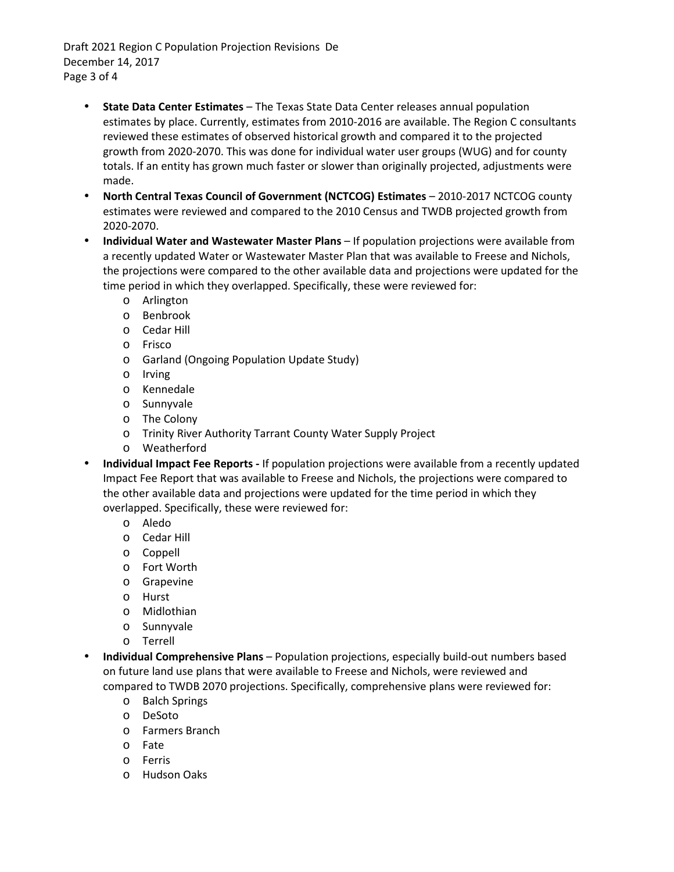Draft 2021 Region C Population Projection Revisions De December 14, 2017 Page 3 of 4

- **State Data Center Estimates** The Texas State Data Center releases annual population estimates by place. Currently, estimates from 2010-2016 are available. The Region C consultants reviewed these estimates of observed historical growth and compared it to the projected growth from 2020-2070. This was done for individual water user groups (WUG) and for county totals. If an entity has grown much faster or slower than originally projected, adjustments were made.
- **North Central Texas Council of Government (NCTCOG) Estimates** 2010-2017 NCTCOG county estimates were reviewed and compared to the 2010 Census and TWDB projected growth from 2020-2070.
- **Individual Water and Wastewater Master Plans** If population projections were available from a recently updated Water or Wastewater Master Plan that was available to Freese and Nichols, the projections were compared to the other available data and projections were updated for the time period in which they overlapped. Specifically, these were reviewed for:
	- o Arlington
	- o Benbrook
	- o Cedar Hill
	- o Frisco
	- o Garland (Ongoing Population Update Study)
	- o Irving
	- o Kennedale
	- o Sunnyvale
	- o The Colony
	- o Trinity River Authority Tarrant County Water Supply Project
	- o Weatherford
- **Individual Impact Fee Reports** If population projections were available from a recently updated Impact Fee Report that was available to Freese and Nichols, the projections were compared to the other available data and projections were updated for the time period in which they overlapped. Specifically, these were reviewed for:
	- o Aledo
	- o Cedar Hill
	- o Coppell
	- o Fort Worth
	- o Grapevine
	- o Hurst
	- o Midlothian
	- o Sunnyvale
	- o Terrell
- **Individual Comprehensive Plans** Population projections, especially build-out numbers based on future land use plans that were available to Freese and Nichols, were reviewed and compared to TWDB 2070 projections. Specifically, comprehensive plans were reviewed for:
	- o Balch Springs
	- o DeSoto
	- o Farmers Branch
	- o Fate
	- o Ferris
	- o Hudson Oaks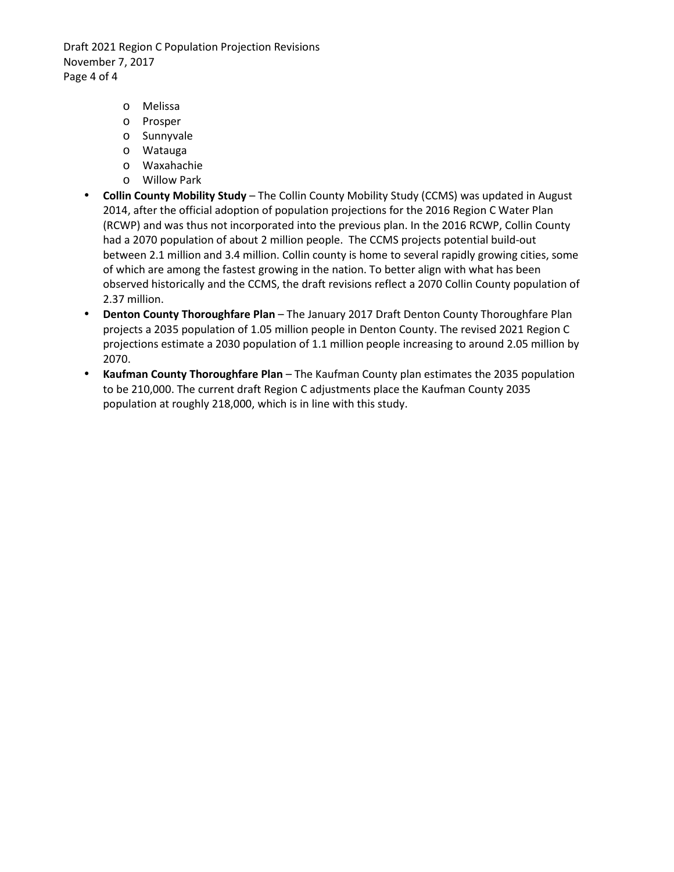Draft 2021 Region C Population Projection Revisions November 7, 2017 Page 4 of 4

- o Melissa
- o Prosper
- o Sunnyvale
- o Watauga
- o Waxahachie
- o Willow Park
- **Collin County Mobility Study** The Collin County Mobility Study (CCMS) was updated in August 2014, after the official adoption of population projections for the 2016 Region C Water Plan (RCWP) and was thus not incorporated into the previous plan. In the 2016 RCWP, Collin County had a 2070 population of about 2 million people. The CCMS projects potential build-out between 2.1 million and 3.4 million. Collin county is home to several rapidly growing cities, some of which are among the fastest growing in the nation. To better align with what has been observed historically and the CCMS, the draft revisions reflect a 2070 Collin County population of 2.37 million.
- **Denton County Thoroughfare Plan** The January 2017 Draft Denton County Thoroughfare Plan projects a 2035 population of 1.05 million people in Denton County. The revised 2021 Region C projections estimate a 2030 population of 1.1 million people increasing to around 2.05 million by 2070.
- **Kaufman County Thoroughfare Plan**  The Kaufman County plan estimates the 2035 population to be 210,000. The current draft Region C adjustments place the Kaufman County 2035 population at roughly 218,000, which is in line with this study.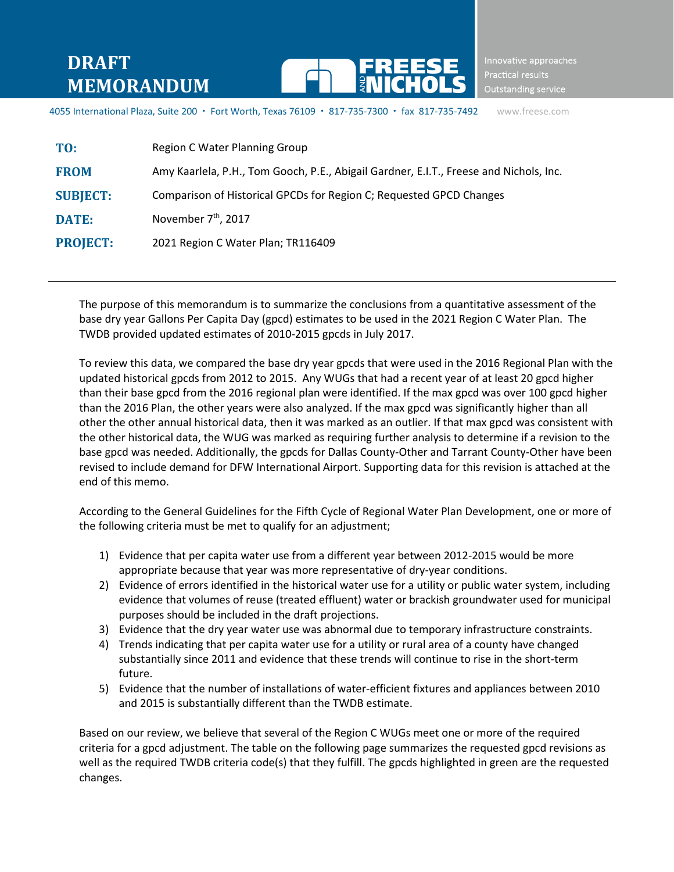## **DRAFT MEMORANDUM**



Innovative approaches Outstanding service

4055 International Plaza, Suite 200 · Fort Worth, Texas 76109 · 817-735-7300 · fax 817-735-7492 www.freese.com

| TO:             | Region C Water Planning Group                                                          |
|-----------------|----------------------------------------------------------------------------------------|
| <b>FROM</b>     | Amy Kaarlela, P.H., Tom Gooch, P.E., Abigail Gardner, E.I.T., Freese and Nichols, Inc. |
| <b>SUBJECT:</b> | Comparison of Historical GPCDs for Region C; Requested GPCD Changes                    |
| <b>DATE:</b>    | November 7 <sup>th</sup> , 2017                                                        |
| <b>PROJECT:</b> | 2021 Region C Water Plan; TR116409                                                     |

The purpose of this memorandum is to summarize the conclusions from a quantitative assessment of the base dry year Gallons Per Capita Day (gpcd) estimates to be used in the 2021 Region C Water Plan. The TWDB provided updated estimates of 2010-2015 gpcds in July 2017.

To review this data, we compared the base dry year gpcds that were used in the 2016 Regional Plan with the updated historical gpcds from 2012 to 2015. Any WUGs that had a recent year of at least 20 gpcd higher than their base gpcd from the 2016 regional plan were identified. If the max gpcd was over 100 gpcd higher than the 2016 Plan, the other years were also analyzed. If the max gpcd was significantly higher than all other the other annual historical data, then it was marked as an outlier. If that max gpcd was consistent with the other historical data, the WUG was marked as requiring further analysis to determine if a revision to the base gpcd was needed. Additionally, the gpcds for Dallas County-Other and Tarrant County-Other have been revised to include demand for DFW International Airport. Supporting data for this revision is attached at the end of this memo.

According to the General Guidelines for the Fifth Cycle of Regional Water Plan Development, one or more of the following criteria must be met to qualify for an adjustment;

- 1) Evidence that per capita water use from a different year between 2012-2015 would be more appropriate because that year was more representative of dry-year conditions.
- 2) Evidence of errors identified in the historical water use for a utility or public water system, including evidence that volumes of reuse (treated effluent) water or brackish groundwater used for municipal purposes should be included in the draft projections.
- 3) Evidence that the dry year water use was abnormal due to temporary infrastructure constraints.
- 4) Trends indicating that per capita water use for a utility or rural area of a county have changed substantially since 2011 and evidence that these trends will continue to rise in the short-term future.
- 5) Evidence that the number of installations of water-efficient fixtures and appliances between 2010 and 2015 is substantially different than the TWDB estimate.

Based on our review, we believe that several of the Region C WUGs meet one or more of the required criteria for a gpcd adjustment. The table on the following page summarizes the requested gpcd revisions as well as the required TWDB criteria code(s) that they fulfill. The gpcds highlighted in green are the requested changes.